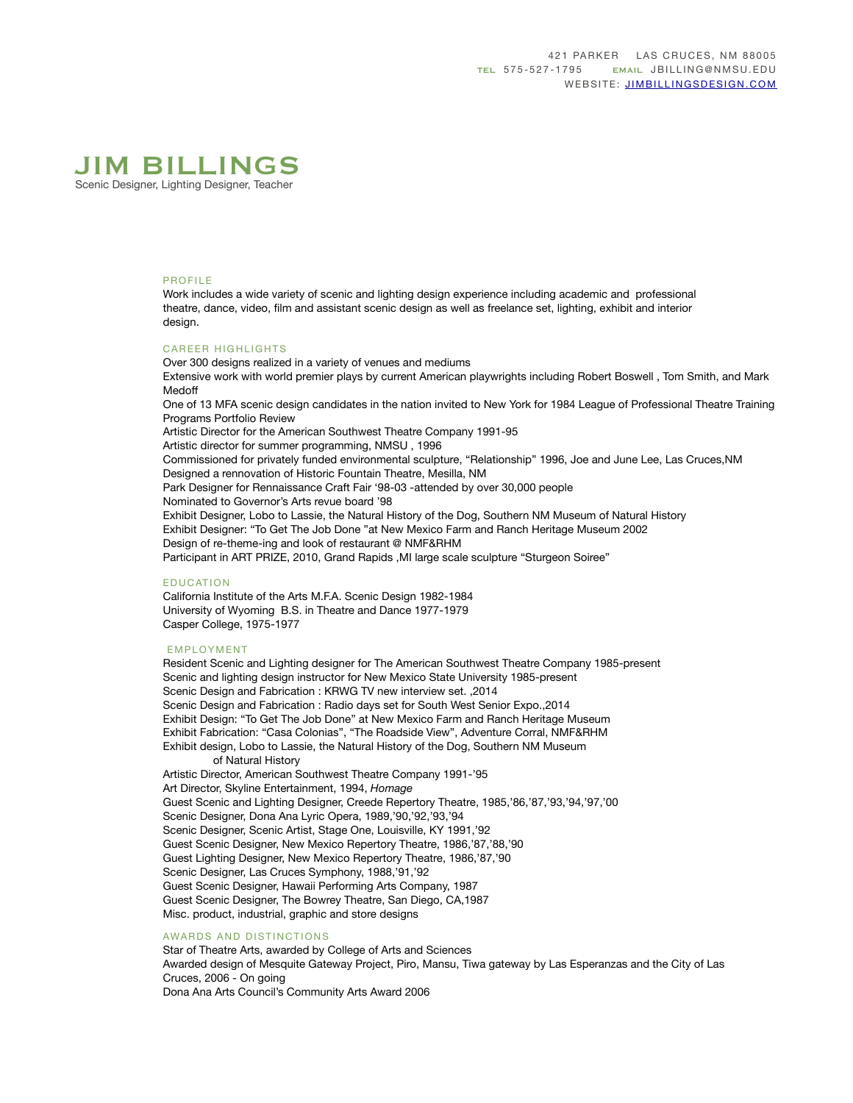

# PROFILE

Work includes a wide variety of scenic and lighting design experience including academic and professional theatre, dance, video, film and assistant scenic design as well as freelance set, lighting, exhibit and interior design.

#### CAREER HIGHLIGHTS

Over 300 designs realized in a variety of venues and mediums Extensive work with world premier plays by current American playwrights including Robert Boswell , Tom Smith, and Mark Medoff

One of 13 MFA scenic design candidates in the nation invited to New York for 1984 League of Professional Theatre Training Programs Portfolio Review

Artistic Director for the American Southwest Theatre Company 1991-95

Artistic director for summer programming, NMSU , 1996

Commissioned for privately funded environmental sculpture, "Relationship" 1996, Joe and June Lee, Las Cruces,NM Designed a rennovation of Historic Fountain Theatre, Mesilla, NM

Park Designer for Rennaissance Craft Fair '98-03 -attended by over 30,000 people

Nominated to Governor's Arts revue board '98

Exhibit Designer, Lobo to Lassie, the Natural History of the Dog, Southern NM Museum of Natural History Exhibit Designer: "To Get The Job Done "at New Mexico Farm and Ranch Heritage Museum 2002 Design of re-theme-ing and look of restaurant @ NMF&RHM Participant in ART PRIZE, 2010, Grand Rapids ,MI large scale sculpture "Sturgeon Soiree"

#### EDUCATION

California Institute of the Arts M.F.A. Scenic Design 1982-1984 University of Wyoming B.S. in Theatre and Dance 1977-1979 Casper College, 1975-1977

## EMPLOYMENT

Resident Scenic and Lighting designer for The American Southwest Theatre Company 1985-present Scenic and lighting design instructor for New Mexico State University 1985-present Scenic Design and Fabrication : KRWG TV new interview set. ,2014 Scenic Design and Fabrication : Radio days set for South West Senior Expo.,2014 Exhibit Design: "To Get The Job Done" at New Mexico Farm and Ranch Heritage Museum Exhibit Fabrication: "Casa Colonias", "The Roadside View", Adventure Corral, NMF&RHM Exhibit design, Lobo to Lassie, the Natural History of the Dog, Southern NM Museum of Natural History Artistic Director, American Southwest Theatre Company 1991-'95 Art Director, Skyline Entertainment, 1994, *Homage*  Guest Scenic and Lighting Designer, Creede Repertory Theatre, 1985,'86,'87,'93,'94,'97,'00 Scenic Designer, Dona Ana Lyric Opera, 1989,'90,'92,'93,'94 Scenic Designer, Scenic Artist, Stage One, Louisville, KY 1991,'92 Guest Scenic Designer, New Mexico Repertory Theatre, 1986,'87,'88,'90 Guest Lighting Designer, New Mexico Repertory Theatre, 1986,'87,'90 Scenic Designer, Las Cruces Symphony, 1988,'91,'92 Guest Scenic Designer, Hawaii Performing Arts Company, 1987 Guest Scenic Designer, The Bowrey Theatre, San Diego, CA,1987 Misc. product, industrial, graphic and store designs

#### AWARDS AND DISTINCTIONS

Star of Theatre Arts, awarded by College of Arts and Sciences Awarded design of Mesquite Gateway Project, Piro, Mansu, Tiwa gateway by Las Esperanzas and the City of Las Cruces, 2006 - On going Dona Ana Arts Council's Community Arts Award 2006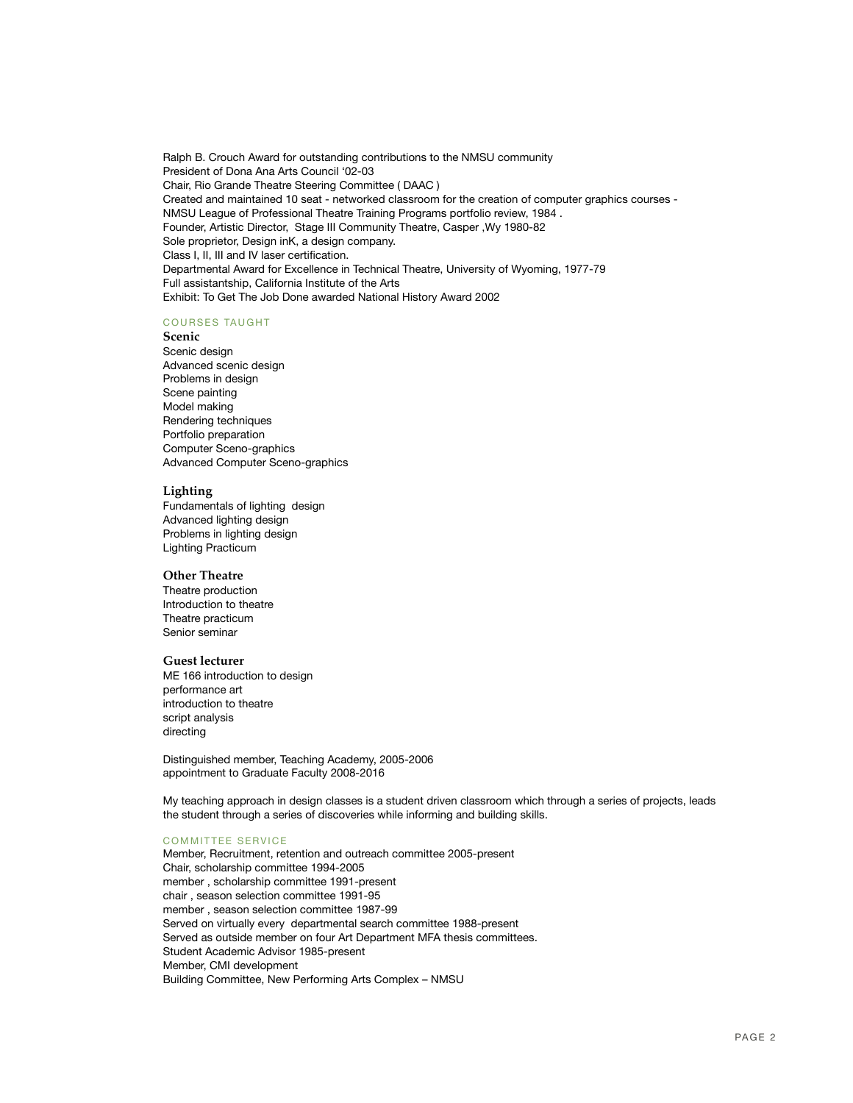Ralph B. Crouch Award for outstanding contributions to the NMSU community President of Dona Ana Arts Council '02-03 Chair, Rio Grande Theatre Steering Committee ( DAAC ) Created and maintained 10 seat - networked classroom for the creation of computer graphics courses - NMSU League of Professional Theatre Training Programs portfolio review, 1984 . Founder, Artistic Director, Stage III Community Theatre, Casper ,Wy 1980-82 Sole proprietor, Design inK, a design company. Class I, II, III and IV laser certification. Departmental Award for Excellence in Technical Theatre, University of Wyoming, 1977-79 Full assistantship, California Institute of the Arts Exhibit: To Get The Job Done awarded National History Award 2002

#### COURSES TAUGHT

## **Scenic**

Scenic design Advanced scenic design Problems in design Scene painting Model making Rendering techniques Portfolio preparation Computer Sceno-graphics Advanced Computer Sceno-graphics

#### **Lighting**

Fundamentals of lighting design Advanced lighting design Problems in lighting design Lighting Practicum

## **Other Theatre**

Theatre production Introduction to theatre Theatre practicum Senior seminar

## **Guest lecturer**

ME 166 introduction to design performance art introduction to theatre script analysis directing

Distinguished member, Teaching Academy, 2005-2006 appointment to Graduate Faculty 2008-2016

My teaching approach in design classes is a student driven classroom which through a series of projects, leads the student through a series of discoveries while informing and building skills.

#### COMMITTEE SERVICE

Member, Recruitment, retention and outreach committee 2005-present Chair, scholarship committee 1994-2005 member , scholarship committee 1991-present chair , season selection committee 1991-95 member , season selection committee 1987-99 Served on virtually every departmental search committee 1988-present Served as outside member on four Art Department MFA thesis committees. Student Academic Advisor 1985-present Member, CMI development Building Committee, New Performing Arts Complex – NMSU